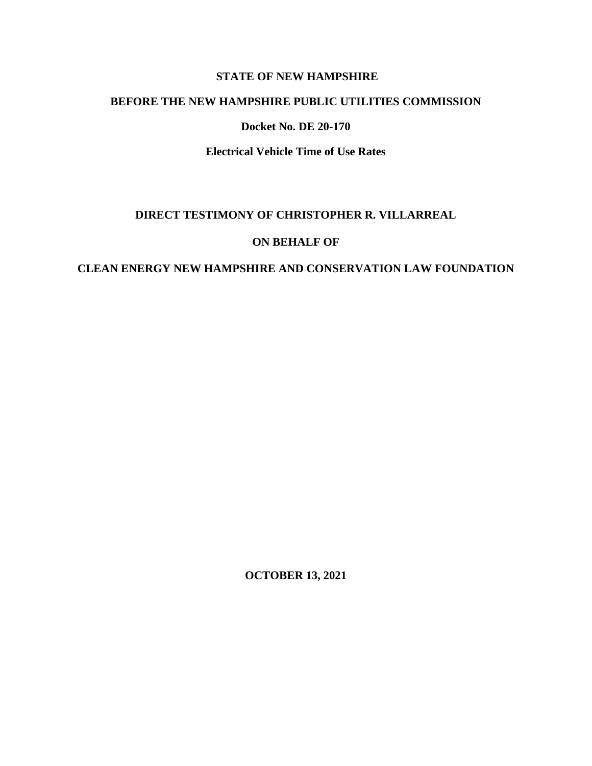## **STATE OF NEW HAMPSHIRE**

## **BEFORE THE NEW HAMPSHIRE PUBLIC UTILITIES COMMISSION**

#### **Docket No. DE 20-170**

**Electrical Vehicle Time of Use Rates**

## **DIRECT TESTIMONY OF CHRISTOPHER R. VILLARREAL**

## **ON BEHALF OF**

## **CLEAN ENERGY NEW HAMPSHIRE AND CONSERVATION LAW FOUNDATION**

**OCTOBER 13, 2021**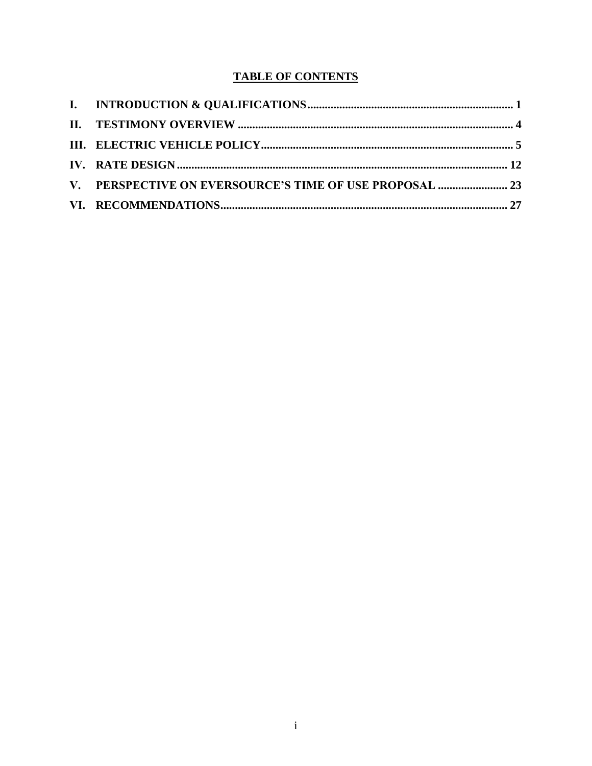# **TABLE OF CONTENTS**

| V. PERSPECTIVE ON EVERSOURCE'S TIME OF USE PROPOSAL  23 |  |
|---------------------------------------------------------|--|
|                                                         |  |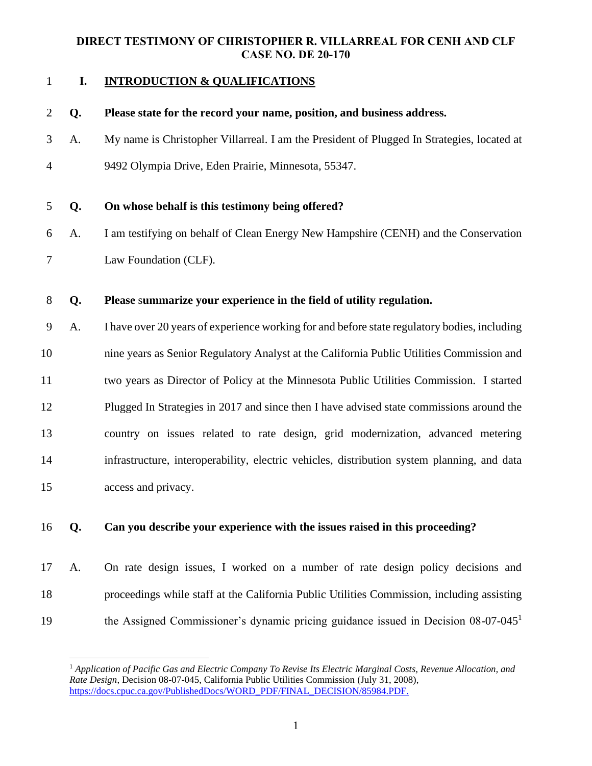# **I. INTRODUCTION & QUALIFICATIONS**

| $\overline{2}$ | Q. | Please state for the record your name, position, and business address.                       |
|----------------|----|----------------------------------------------------------------------------------------------|
| 3              | A. | My name is Christopher Villarreal. I am the President of Plugged In Strategies, located at   |
| $\overline{4}$ |    | 9492 Olympia Drive, Eden Prairie, Minnesota, 55347.                                          |
| 5              | Q. | On whose behalf is this testimony being offered?                                             |
| 6              | A. | I am testifying on behalf of Clean Energy New Hampshire (CENH) and the Conservation          |
| $\tau$         |    | Law Foundation (CLF).                                                                        |
| 8              | Q. | Please summarize your experience in the field of utility regulation.                         |
| 9              | A. | I have over 20 years of experience working for and before state regulatory bodies, including |
| 10             |    | nine years as Senior Regulatory Analyst at the California Public Utilities Commission and    |
| 11             |    | two years as Director of Policy at the Minnesota Public Utilities Commission. I started      |
| 12             |    | Plugged In Strategies in 2017 and since then I have advised state commissions around the     |
| 13             |    | country on issues related to rate design, grid modernization, advanced metering              |
| 14             |    | infrastructure, interoperability, electric vehicles, distribution system planning, and data  |
| 15             |    | access and privacy.                                                                          |
| 16             | Q. | Can you describe your experience with the issues raised in this proceeding?                  |
| 17             | A. | On rate design issues, I worked on a number of rate design policy decisions and              |
| 18             |    | proceedings while staff at the California Public Utilities Commission, including assisting   |

the Assigned Commissioner's dynamic pricing guidance issued in Decision 08-07-045<sup>1</sup>

 *Application of Pacific Gas and Electric Company To Revise Its Electric Marginal Costs, Revenue Allocation, and Rate Design*, Decision 08-07-045, California Public Utilities Commission (July 31, 2008), [https://docs.cpuc.ca.gov/PublishedDocs/WORD\\_PDF/FINAL\\_DECISION/85984.PDF.](https://docs.cpuc.ca.gov/PublishedDocs/WORD_PDF/FINAL_DECISION/85984.PDF)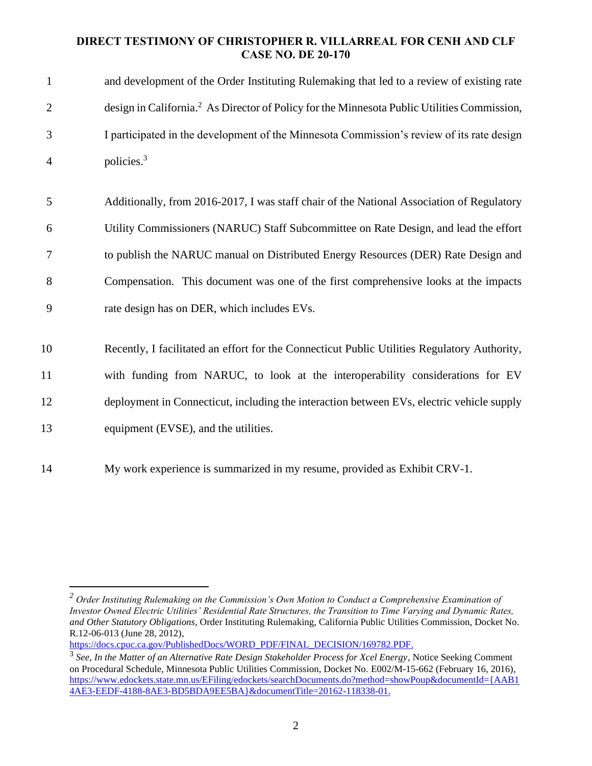| $\mathbf{1}$   | and development of the Order Instituting Rulemaking that led to a review of existing rate               |
|----------------|---------------------------------------------------------------------------------------------------------|
| $\overline{2}$ | design in California. <sup>2</sup> As Director of Policy for the Minnesota Public Utilities Commission, |
| 3              | I participated in the development of the Minnesota Commission's review of its rate design               |
| $\overline{4}$ | policies. <sup>3</sup>                                                                                  |
|                |                                                                                                         |
| 5              | Additionally, from 2016-2017, I was staff chair of the National Association of Regulatory               |
| 6              | Utility Commissioners (NARUC) Staff Subcommittee on Rate Design, and lead the effort                    |
| 7              | to publish the NARUC manual on Distributed Energy Resources (DER) Rate Design and                       |
| 8              | Compensation. This document was one of the first comprehensive looks at the impacts                     |
| 9              | rate design has on DER, which includes EVs.                                                             |
|                |                                                                                                         |
| 10             | Recently, I facilitated an effort for the Connecticut Public Utilities Regulatory Authority,            |
| 11             | with funding from NARUC, to look at the interoperability considerations for EV                          |
| 12             | deployment in Connecticut, including the interaction between EVs, electric vehicle supply               |
| 13             | equipment (EVSE), and the utilities.                                                                    |
| 14             | My work experience is summarized in my resume, provided as Exhibit CRV-1.                               |

[https://docs.cpuc.ca.gov/PublishedDocs/WORD\\_PDF/FINAL\\_DECISION/169782.PDF.](https://docs.cpuc.ca.gov/PublishedDocs/WORD_PDF/FINAL_DECISION/169782.PDF)

*<sup>2</sup> Order Instituting Rulemaking on the Commission's Own Motion to Conduct a Comprehensive Examination of Investor Owned Electric Utilities' Residential Rate Structures, the Transition to Time Varying and Dynamic Rates, and Other Statutory Obligations*, Order Instituting Rulemaking, California Public Utilities Commission, Docket No. R.12-06-013 (June 28, 2012),

<sup>3</sup> *See*, *In the Matter of an Alternative Rate Design Stakeholder Process for Xcel Energy*, Notice Seeking Comment on Procedural Schedule, Minnesota Public Utilities Commission, Docket No. E002/M-15-662 (February 16, 2016), [https://www.edockets.state.mn.us/EFiling/edockets/searchDocuments.do?method=showPoup&documentId={AAB1](https://www.edockets.state.mn.us/EFiling/edockets/searchDocuments.do?method=showPoup&documentId=%7bAAB14AE3-EEDF-4188-8AE3-BD5BDA9EE5BA%7d&documentTitle=20162-118338-01) [4AE3-EEDF-4188-8AE3-BD5BDA9EE5BA}&documentTitle=20162-118338-01.](https://www.edockets.state.mn.us/EFiling/edockets/searchDocuments.do?method=showPoup&documentId=%7bAAB14AE3-EEDF-4188-8AE3-BD5BDA9EE5BA%7d&documentTitle=20162-118338-01)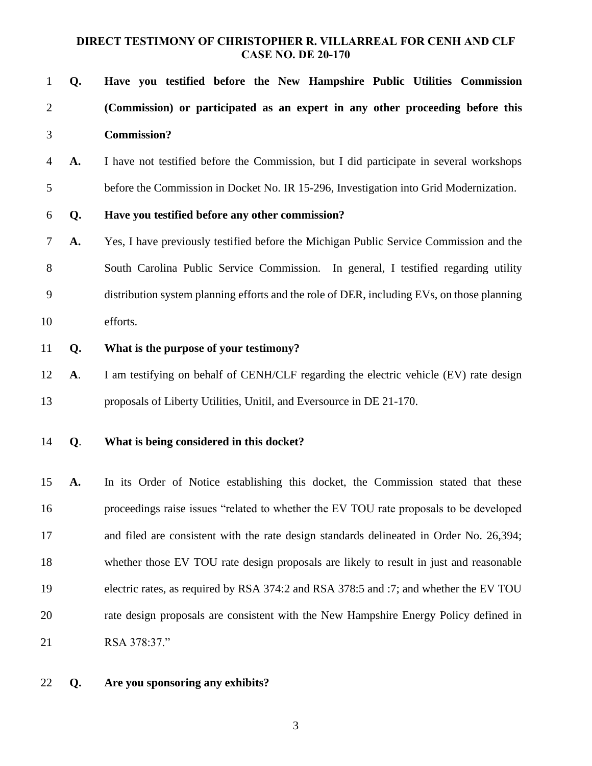| $\mathbf{1}$   | Q.        | Have you testified before the New Hampshire Public Utilities Commission                    |
|----------------|-----------|--------------------------------------------------------------------------------------------|
| $\overline{2}$ |           | (Commission) or participated as an expert in any other proceeding before this              |
| 3              |           | <b>Commission?</b>                                                                         |
| 4              | A.        | I have not testified before the Commission, but I did participate in several workshops     |
| 5              |           | before the Commission in Docket No. IR 15-296, Investigation into Grid Modernization.      |
| 6              | Q.        | Have you testified before any other commission?                                            |
| 7              | A.        | Yes, I have previously testified before the Michigan Public Service Commission and the     |
| 8              |           | South Carolina Public Service Commission. In general, I testified regarding utility        |
| 9              |           | distribution system planning efforts and the role of DER, including EVs, on those planning |
| 10             |           | efforts.                                                                                   |
| 11             | Q.        | What is the purpose of your testimony?                                                     |
| 12             | <b>A.</b> | I am testifying on behalf of CENH/CLF regarding the electric vehicle (EV) rate design      |
| 13             |           | proposals of Liberty Utilities, Unitil, and Eversource in DE 21-170.                       |
| 14             | Q.        | What is being considered in this docket?                                                   |
| 15             | A.        | In its Order of Notice establishing this docket, the Commission stated that these          |
| 16             |           | proceedings raise issues "related to whether the EV TOU rate proposals to be developed     |
| 17             |           | and filed are consistent with the rate design standards delineated in Order No. 26,394;    |
| 18             |           | whether those EV TOU rate design proposals are likely to result in just and reasonable     |
| 19             |           | electric rates, as required by RSA 374:2 and RSA 378:5 and :7; and whether the EV TOU      |
| 20             |           | rate design proposals are consistent with the New Hampshire Energy Policy defined in       |
| 21             |           | RSA 378:37."                                                                               |

**Q. Are you sponsoring any exhibits?**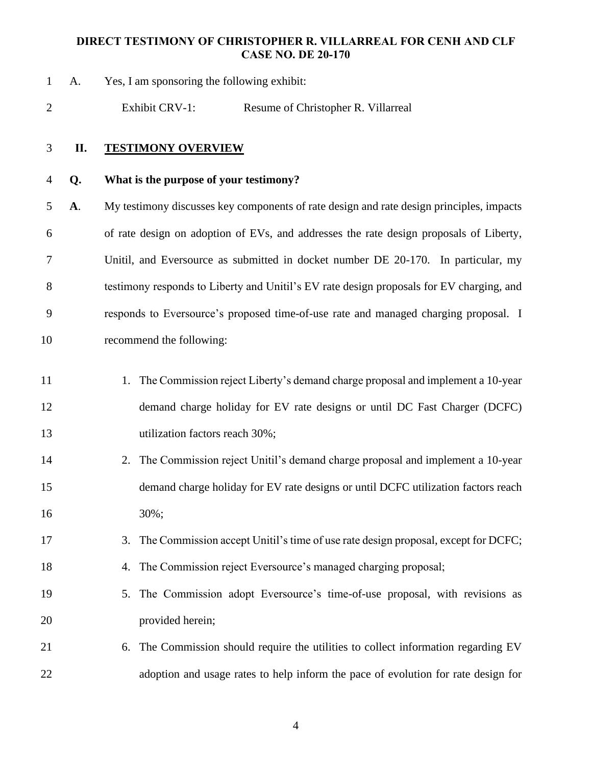A. Yes, I am sponsoring the following exhibit:

Exhibit CRV-1: Resume of Christopher R. Villarreal

#### **II. TESTIMONY OVERVIEW**

**Q. What is the purpose of your testimony?**

 **A**. My testimony discusses key components of rate design and rate design principles, impacts of rate design on adoption of EVs, and addresses the rate design proposals of Liberty, Unitil, and Eversource as submitted in docket number DE 20-170. In particular, my testimony responds to Liberty and Unitil's EV rate design proposals for EV charging, and responds to Eversource's proposed time-of-use rate and managed charging proposal. I recommend the following:

- 11 1. The Commission reject Liberty's demand charge proposal and implement a 10-year demand charge holiday for EV rate designs or until DC Fast Charger (DCFC) 13 utilization factors reach 30%;
- 2. The Commission reject Unitil's demand charge proposal and implement a 10-year demand charge holiday for EV rate designs or until DCFC utilization factors reach 30%;
- 3. The Commission accept Unitil's time of use rate design proposal, except for DCFC;
- 4. The Commission reject Eversource's managed charging proposal;
- 5. The Commission adopt Eversource's time-of-use proposal, with revisions as provided herein;
- 6. The Commission should require the utilities to collect information regarding EV adoption and usage rates to help inform the pace of evolution for rate design for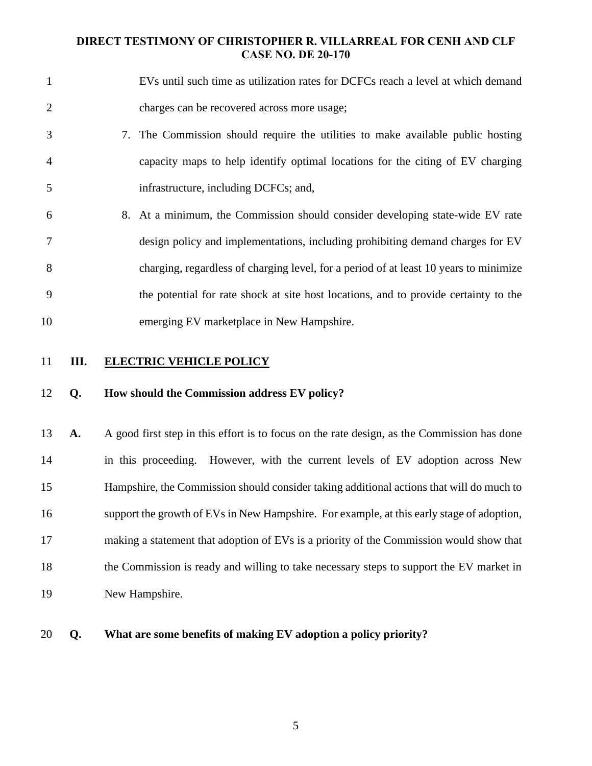| $\mathbf{1}$   |    | EVs until such time as utilization rates for DCFCs reach a level at which demand            |
|----------------|----|---------------------------------------------------------------------------------------------|
| $\overline{2}$ |    | charges can be recovered across more usage;                                                 |
| 3              |    | 7. The Commission should require the utilities to make available public hosting             |
| $\overline{4}$ |    | capacity maps to help identify optimal locations for the citing of EV charging              |
| 5              |    | infrastructure, including DCFCs; and,                                                       |
| 6              |    | 8. At a minimum, the Commission should consider developing state-wide EV rate               |
| 7              |    | design policy and implementations, including prohibiting demand charges for EV              |
| 8              |    | charging, regardless of charging level, for a period of at least 10 years to minimize       |
| 9              |    | the potential for rate shock at site host locations, and to provide certainty to the        |
| 10             |    | emerging EV marketplace in New Hampshire.                                                   |
| 11             | Ш. | <b>ELECTRIC VEHICLE POLICY</b>                                                              |
| 12             | Q. | How should the Commission address EV policy?                                                |
| 13             | A. | A good first step in this effort is to focus on the rate design, as the Commission has done |
| 14             |    | in this proceeding. However, with the current levels of EV adoption across New              |
| 15             |    | Hampshire, the Commission should consider taking additional actions that will do much to    |
| 16             |    | support the growth of EVs in New Hampshire. For example, at this early stage of adoption,   |
| 17             |    | making a statement that adoption of EVs is a priority of the Commission would show that     |
| 18             |    | the Commission is ready and willing to take necessary steps to support the EV market in     |

- New Hampshire.
- **Q. What are some benefits of making EV adoption a policy priority?**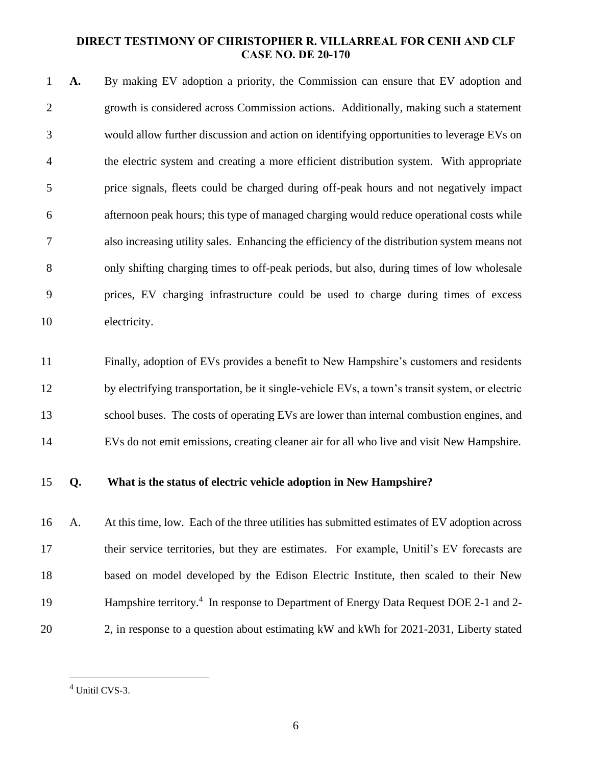**A.** By making EV adoption a priority, the Commission can ensure that EV adoption and growth is considered across Commission actions. Additionally, making such a statement would allow further discussion and action on identifying opportunities to leverage EVs on the electric system and creating a more efficient distribution system. With appropriate price signals, fleets could be charged during off-peak hours and not negatively impact afternoon peak hours; this type of managed charging would reduce operational costs while also increasing utility sales. Enhancing the efficiency of the distribution system means not only shifting charging times to off-peak periods, but also, during times of low wholesale prices, EV charging infrastructure could be used to charge during times of excess electricity.

 Finally, adoption of EVs provides a benefit to New Hampshire's customers and residents by electrifying transportation, be it single-vehicle EVs, a town's transit system, or electric school buses. The costs of operating EVs are lower than internal combustion engines, and EVs do not emit emissions, creating cleaner air for all who live and visit New Hampshire.

#### **Q. What is the status of electric vehicle adoption in New Hampshire?**

 A. At this time, low. Each of the three utilities has submitted estimates of EV adoption across their service territories, but they are estimates. For example, Unitil's EV forecasts are based on model developed by the Edison Electric Institute, then scaled to their New 19 Hampshire territory.<sup>4</sup> In response to Department of Energy Data Request DOE 2-1 and 2-2, in response to a question about estimating kW and kWh for 2021-2031, Liberty stated

Unitil CVS-3.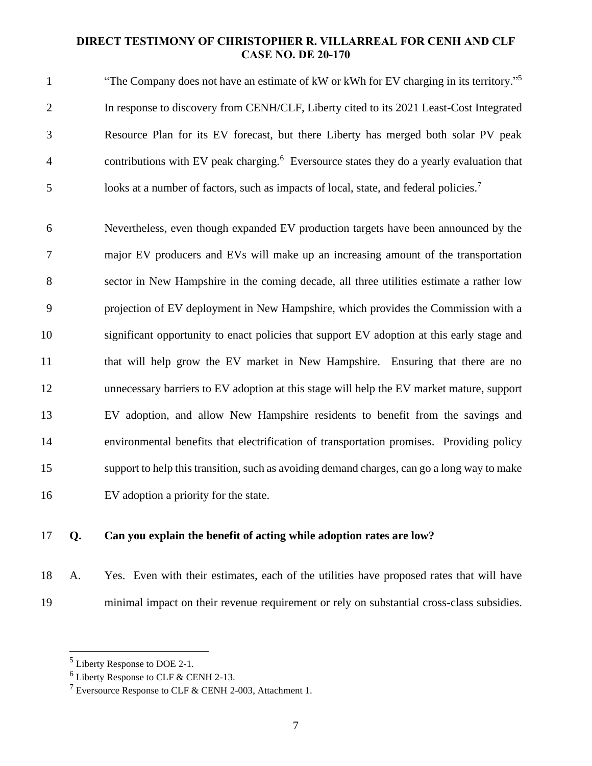"The Company does not have an estimate of kW or kWh for EV charging in its territory." 5 In response to discovery from CENH/CLF, Liberty cited to its 2021 Least-Cost Integrated Resource Plan for its EV forecast, but there Liberty has merged both solar PV peak 4 contributions with EV peak charging.<sup>6</sup> Eversource states they do a yearly evaluation that 5 looks at a number of factors, such as impacts of local, state, and federal policies.<sup>7</sup>

 Nevertheless, even though expanded EV production targets have been announced by the major EV producers and EVs will make up an increasing amount of the transportation sector in New Hampshire in the coming decade, all three utilities estimate a rather low projection of EV deployment in New Hampshire, which provides the Commission with a significant opportunity to enact policies that support EV adoption at this early stage and 11 that will help grow the EV market in New Hampshire. Ensuring that there are no unnecessary barriers to EV adoption at this stage will help the EV market mature, support EV adoption, and allow New Hampshire residents to benefit from the savings and environmental benefits that electrification of transportation promises. Providing policy support to help this transition, such as avoiding demand charges, can go a long way to make EV adoption a priority for the state.

## **Q. Can you explain the benefit of acting while adoption rates are low?**

 A. Yes. Even with their estimates, each of the utilities have proposed rates that will have minimal impact on their revenue requirement or rely on substantial cross-class subsidies.

Liberty Response to DOE 2-1.

Liberty Response to CLF & CENH 2-13.

<sup>&</sup>lt;sup>7</sup> Eversource Response to CLF & CENH 2-003, Attachment 1.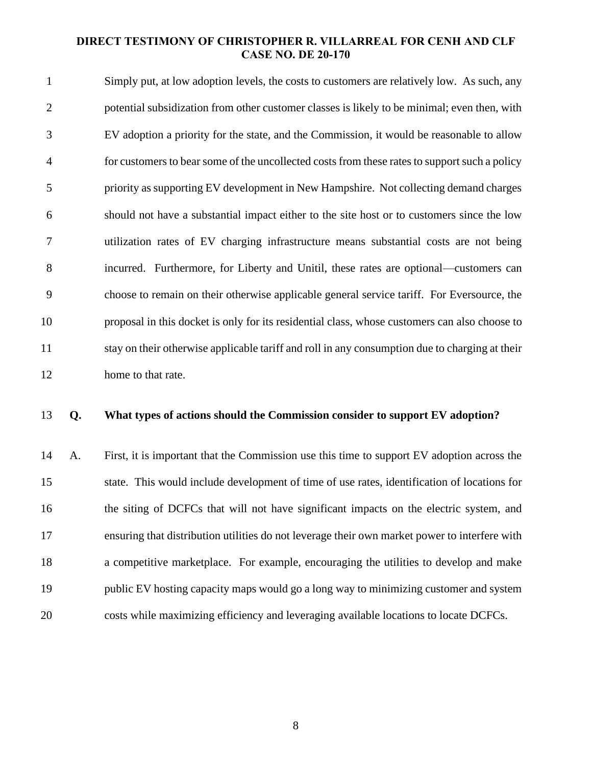Simply put, at low adoption levels, the costs to customers are relatively low. As such, any potential subsidization from other customer classes is likely to be minimal; even then, with EV adoption a priority for the state, and the Commission, it would be reasonable to allow for customers to bear some of the uncollected costs from these rates to support such a policy priority as supporting EV development in New Hampshire. Not collecting demand charges should not have a substantial impact either to the site host or to customers since the low utilization rates of EV charging infrastructure means substantial costs are not being incurred. Furthermore, for Liberty and Unitil, these rates are optional—customers can choose to remain on their otherwise applicable general service tariff. For Eversource, the proposal in this docket is only for its residential class, whose customers can also choose to stay on their otherwise applicable tariff and roll in any consumption due to charging at their home to that rate.

#### **Q. What types of actions should the Commission consider to support EV adoption?**

 A. First, it is important that the Commission use this time to support EV adoption across the state. This would include development of time of use rates, identification of locations for the siting of DCFCs that will not have significant impacts on the electric system, and ensuring that distribution utilities do not leverage their own market power to interfere with a competitive marketplace. For example, encouraging the utilities to develop and make public EV hosting capacity maps would go a long way to minimizing customer and system costs while maximizing efficiency and leveraging available locations to locate DCFCs.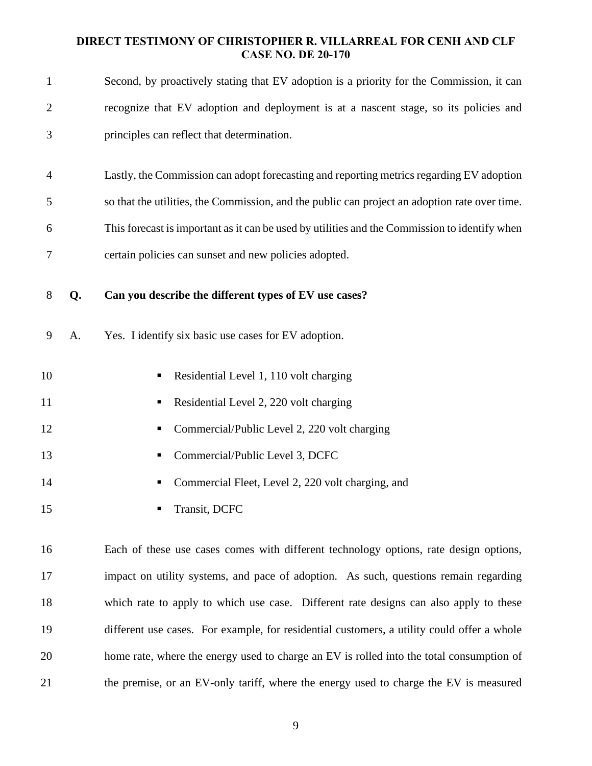| $\mathbf{1}$   |    | Second, by proactively stating that EV adoption is a priority for the Commission, it can      |
|----------------|----|-----------------------------------------------------------------------------------------------|
| $\overline{2}$ |    | recognize that EV adoption and deployment is at a nascent stage, so its policies and          |
| 3              |    | principles can reflect that determination.                                                    |
| $\overline{4}$ |    | Lastly, the Commission can adopt forecasting and reporting metrics regarding EV adoption      |
| 5              |    | so that the utilities, the Commission, and the public can project an adoption rate over time. |
| 6              |    | This forecast is important as it can be used by utilities and the Commission to identify when |
| 7              |    | certain policies can sunset and new policies adopted.                                         |
| 8              | Q. | Can you describe the different types of EV use cases?                                         |
| 9              | А. | Yes. I identify six basic use cases for EV adoption.                                          |
| 10             |    | Residential Level 1, 110 volt charging<br>ш                                                   |
| 11             |    | Residential Level 2, 220 volt charging<br>п                                                   |
| 12             |    | Commercial/Public Level 2, 220 volt charging<br>п                                             |
| 13             |    | Commercial/Public Level 3, DCFC<br>ш                                                          |
| 14             |    | Commercial Fleet, Level 2, 220 volt charging, and                                             |
| 15             |    | Transit, DCFC                                                                                 |
| 16             |    | Each of these use cases comes with different technology options, rate design options,         |
| 17             |    | impact on utility systems, and pace of adoption. As such, questions remain regarding          |
| 18             |    | which rate to apply to which use case. Different rate designs can also apply to these         |
| 19             |    | different use cases. For example, for residential customers, a utility could offer a whole    |
| 20             |    | home rate, where the energy used to charge an EV is rolled into the total consumption of      |

the premise, or an EV-only tariff, where the energy used to charge the EV is measured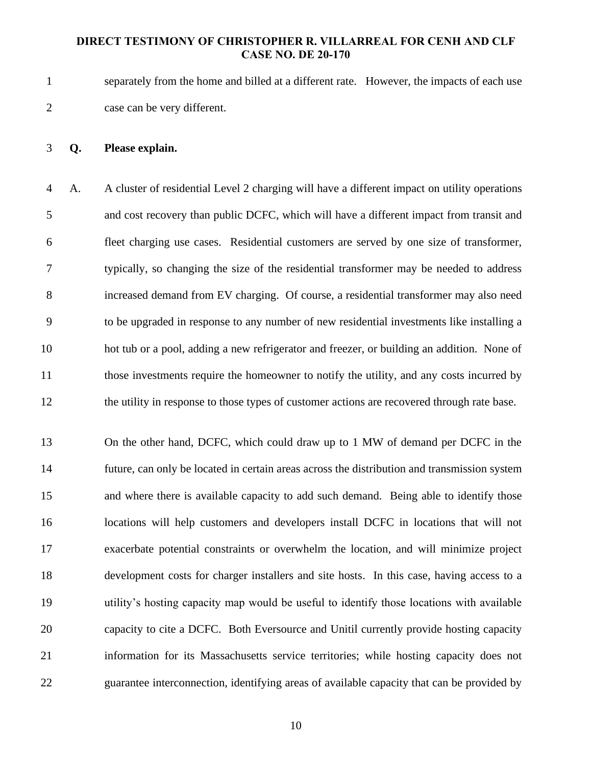separately from the home and billed at a different rate. However, the impacts of each use case can be very different.

#### **Q. Please explain.**

 A. A cluster of residential Level 2 charging will have a different impact on utility operations and cost recovery than public DCFC, which will have a different impact from transit and fleet charging use cases. Residential customers are served by one size of transformer, typically, so changing the size of the residential transformer may be needed to address increased demand from EV charging. Of course, a residential transformer may also need to be upgraded in response to any number of new residential investments like installing a hot tub or a pool, adding a new refrigerator and freezer, or building an addition. None of those investments require the homeowner to notify the utility, and any costs incurred by 12 the utility in response to those types of customer actions are recovered through rate base.

 On the other hand, DCFC, which could draw up to 1 MW of demand per DCFC in the future, can only be located in certain areas across the distribution and transmission system and where there is available capacity to add such demand. Being able to identify those locations will help customers and developers install DCFC in locations that will not exacerbate potential constraints or overwhelm the location, and will minimize project development costs for charger installers and site hosts. In this case, having access to a utility's hosting capacity map would be useful to identify those locations with available capacity to cite a DCFC. Both Eversource and Unitil currently provide hosting capacity information for its Massachusetts service territories; while hosting capacity does not guarantee interconnection, identifying areas of available capacity that can be provided by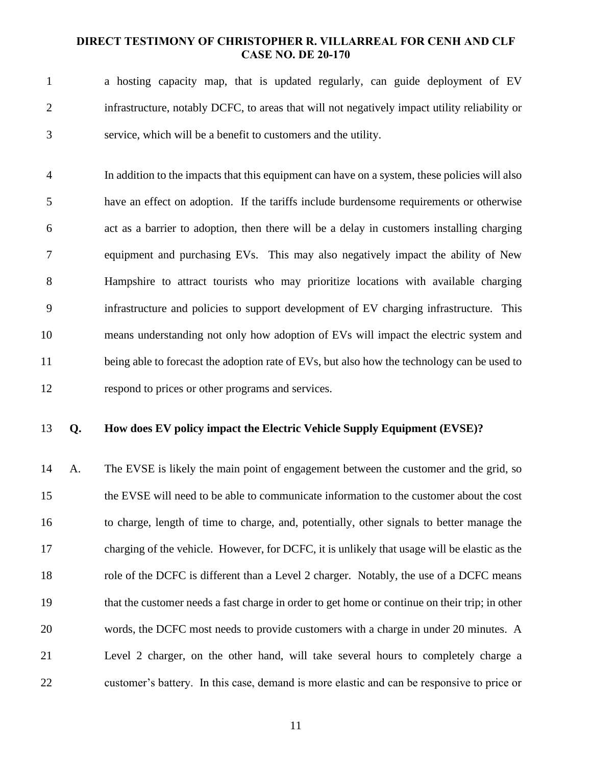a hosting capacity map, that is updated regularly, can guide deployment of EV infrastructure, notably DCFC, to areas that will not negatively impact utility reliability or service, which will be a benefit to customers and the utility.

 In addition to the impacts that this equipment can have on a system, these policies will also have an effect on adoption. If the tariffs include burdensome requirements or otherwise act as a barrier to adoption, then there will be a delay in customers installing charging equipment and purchasing EVs. This may also negatively impact the ability of New Hampshire to attract tourists who may prioritize locations with available charging infrastructure and policies to support development of EV charging infrastructure. This means understanding not only how adoption of EVs will impact the electric system and 11 being able to forecast the adoption rate of EVs, but also how the technology can be used to respond to prices or other programs and services.

#### **Q. How does EV policy impact the Electric Vehicle Supply Equipment (EVSE)?**

 A. The EVSE is likely the main point of engagement between the customer and the grid, so the EVSE will need to be able to communicate information to the customer about the cost to charge, length of time to charge, and, potentially, other signals to better manage the charging of the vehicle. However, for DCFC, it is unlikely that usage will be elastic as the role of the DCFC is different than a Level 2 charger. Notably, the use of a DCFC means that the customer needs a fast charge in order to get home or continue on their trip; in other words, the DCFC most needs to provide customers with a charge in under 20 minutes. A Level 2 charger, on the other hand, will take several hours to completely charge a customer's battery. In this case, demand is more elastic and can be responsive to price or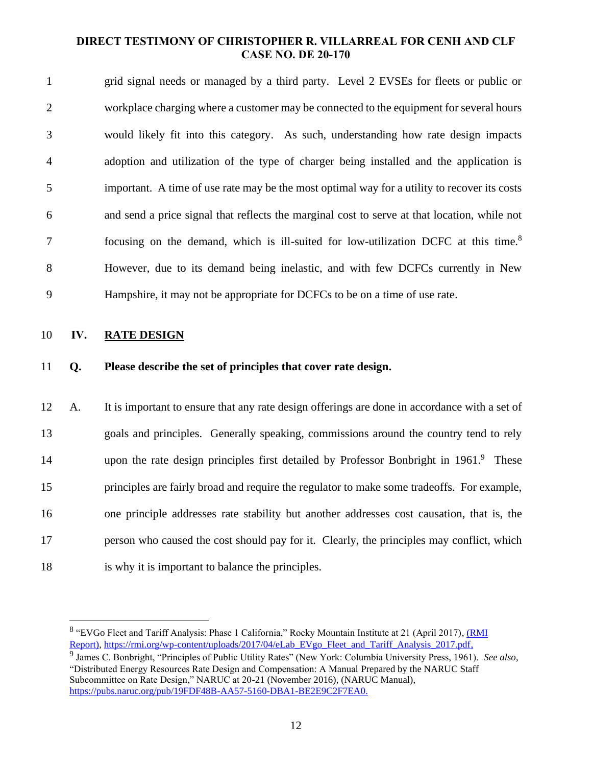grid signal needs or managed by a third party. Level 2 EVSEs for fleets or public or workplace charging where a customer may be connected to the equipment for several hours would likely fit into this category. As such, understanding how rate design impacts adoption and utilization of the type of charger being installed and the application is important. A time of use rate may be the most optimal way for a utility to recover its costs and send a price signal that reflects the marginal cost to serve at that location, while not 7 focusing on the demand, which is ill-suited for low-utilization DCFC at this time.<sup>8</sup> However, due to its demand being inelastic, and with few DCFCs currently in New Hampshire, it may not be appropriate for DCFCs to be on a time of use rate.

#### **IV. RATE DESIGN**

**Q. Please describe the set of principles that cover rate design.**

 A. It is important to ensure that any rate design offerings are done in accordance with a set of goals and principles. Generally speaking, commissions around the country tend to rely 14 upon the rate design principles first detailed by Professor Bonbright in 1961.<sup>9</sup> These principles are fairly broad and require the regulator to make some tradeoffs. For example, one principle addresses rate stability but another addresses cost causation, that is, the person who caused the cost should pay for it. Clearly, the principles may conflict, which is why it is important to balance the principles.

<sup>&</sup>lt;sup>8</sup> "EVGo Fleet and Tariff Analysis: Phase 1 California," Rocky Mountain Institute at 21 (April 2017), *(RMI* Report), [https://rmi.org/wp-content/uploads/2017/04/eLab\\_EVgo\\_Fleet\\_and\\_Tariff\\_Analysis\\_2017.pdf,](https://rmi.org/wp-content/uploads/2017/04/eLab_EVgo_Fleet_and_Tariff_Analysis_2017.pdf)

 James C. Bonbright, "Principles of Public Utility Rates" (New York: Columbia University Press, 1961). *See also*, "Distributed Energy Resources Rate Design and Compensation: A Manual Prepared by the NARUC Staff Subcommittee on Rate Design," NARUC at 20-21 (November 2016), (NARUC Manual), [https://pubs.naruc.org/pub/19FDF48B-AA57-5160-DBA1-BE2E9C2F7EA0.](https://pubs.naruc.org/pub/19FDF48B-AA57-5160-DBA1-BE2E9C2F7EA0)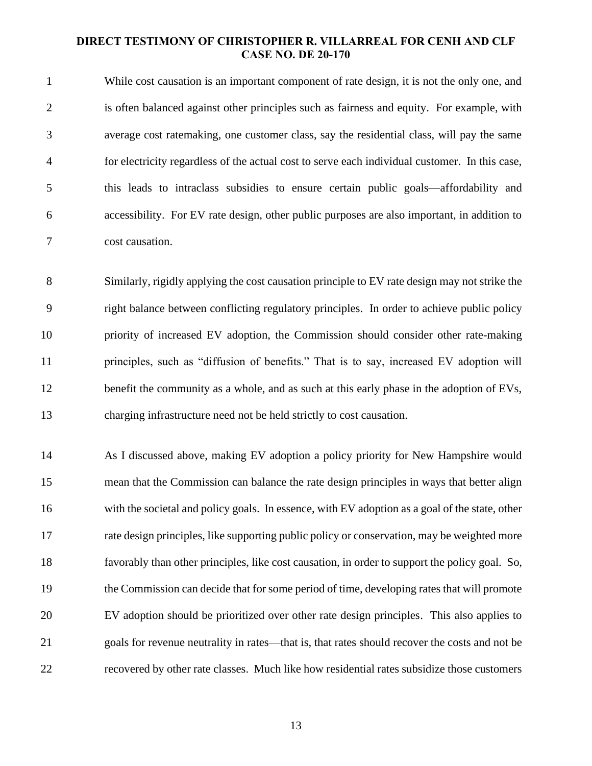While cost causation is an important component of rate design, it is not the only one, and is often balanced against other principles such as fairness and equity. For example, with average cost ratemaking, one customer class, say the residential class, will pay the same for electricity regardless of the actual cost to serve each individual customer. In this case, this leads to intraclass subsidies to ensure certain public goals—affordability and accessibility. For EV rate design, other public purposes are also important, in addition to cost causation.

 Similarly, rigidly applying the cost causation principle to EV rate design may not strike the right balance between conflicting regulatory principles. In order to achieve public policy priority of increased EV adoption, the Commission should consider other rate-making principles, such as "diffusion of benefits." That is to say, increased EV adoption will 12 benefit the community as a whole, and as such at this early phase in the adoption of EVs, charging infrastructure need not be held strictly to cost causation.

 As I discussed above, making EV adoption a policy priority for New Hampshire would mean that the Commission can balance the rate design principles in ways that better align with the societal and policy goals. In essence, with EV adoption as a goal of the state, other rate design principles, like supporting public policy or conservation, may be weighted more favorably than other principles, like cost causation, in order to support the policy goal. So, the Commission can decide that for some period of time, developing rates that will promote EV adoption should be prioritized over other rate design principles. This also applies to goals for revenue neutrality in rates—that is, that rates should recover the costs and not be recovered by other rate classes. Much like how residential rates subsidize those customers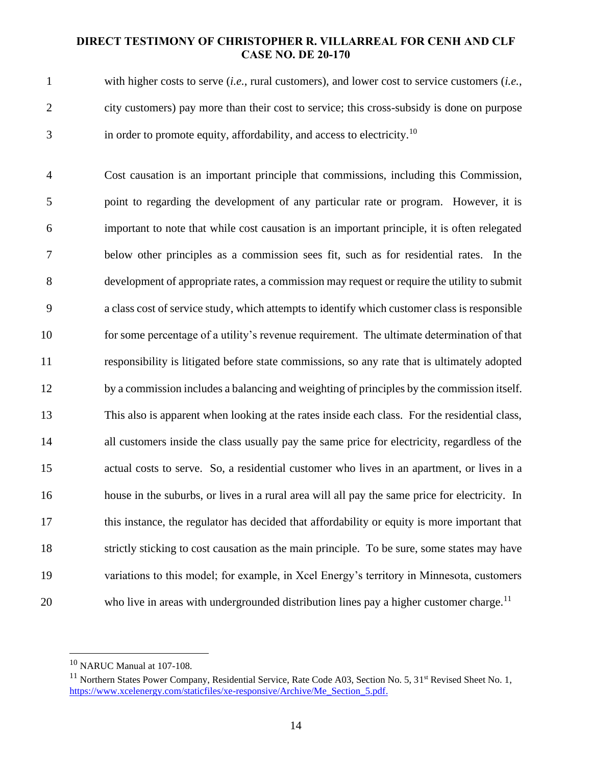with higher costs to serve (*i.e.*, rural customers), and lower cost to service customers (*i.e.*, city customers) pay more than their cost to service; this cross-subsidy is done on purpose 3 in order to promote equity, affordability, and access to electricity.<sup>10</sup>

 Cost causation is an important principle that commissions, including this Commission, point to regarding the development of any particular rate or program. However, it is important to note that while cost causation is an important principle, it is often relegated below other principles as a commission sees fit, such as for residential rates. In the development of appropriate rates, a commission may request or require the utility to submit a class cost of service study, which attempts to identify which customer class is responsible for some percentage of a utility's revenue requirement. The ultimate determination of that responsibility is litigated before state commissions, so any rate that is ultimately adopted by a commission includes a balancing and weighting of principles by the commission itself. This also is apparent when looking at the rates inside each class. For the residential class, all customers inside the class usually pay the same price for electricity, regardless of the actual costs to serve. So, a residential customer who lives in an apartment, or lives in a house in the suburbs, or lives in a rural area will all pay the same price for electricity. In this instance, the regulator has decided that affordability or equity is more important that strictly sticking to cost causation as the main principle. To be sure, some states may have variations to this model; for example, in Xcel Energy's territory in Minnesota, customers 20 who live in areas with undergrounded distribution lines pay a higher customer charge.<sup>11</sup>

NARUC Manual at 107-108.

 $^{11}$  Northern States Power Company, Residential Service, Rate Code A03, Section No. 5, 31<sup>st</sup> Revised Sheet No. 1, [https://www.xcelenergy.com/staticfiles/xe-responsive/Archive/Me\\_Section\\_5.pdf.](https://www.xcelenergy.com/staticfiles/xe-responsive/Archive/Me_Section_5.pdf)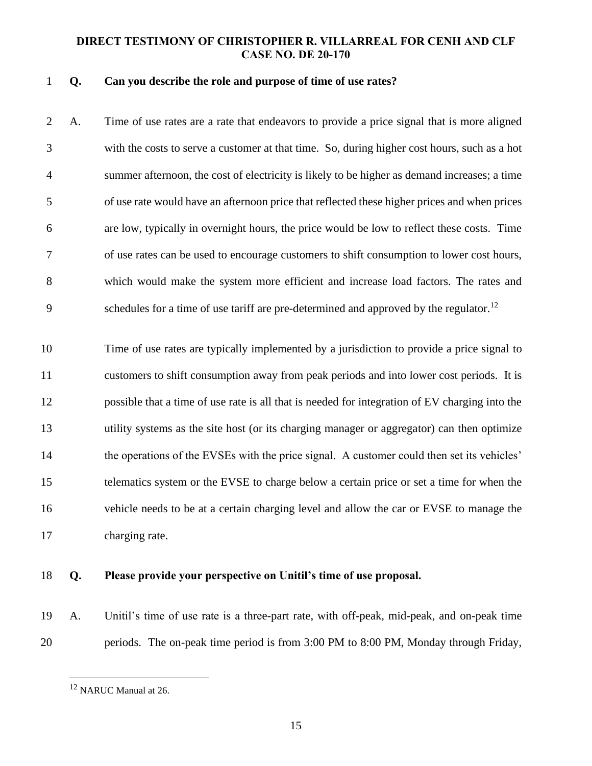#### **Q. Can you describe the role and purpose of time of use rates?**

 A. Time of use rates are a rate that endeavors to provide a price signal that is more aligned with the costs to serve a customer at that time. So, during higher cost hours, such as a hot summer afternoon, the cost of electricity is likely to be higher as demand increases; a time of use rate would have an afternoon price that reflected these higher prices and when prices are low, typically in overnight hours, the price would be low to reflect these costs. Time of use rates can be used to encourage customers to shift consumption to lower cost hours, which would make the system more efficient and increase load factors. The rates and schedules for a time of use tariff are pre-determined and approved by the regulator.<sup>12</sup> 

 Time of use rates are typically implemented by a jurisdiction to provide a price signal to customers to shift consumption away from peak periods and into lower cost periods. It is possible that a time of use rate is all that is needed for integration of EV charging into the utility systems as the site host (or its charging manager or aggregator) can then optimize 14 the operations of the EVSEs with the price signal. A customer could then set its vehicles' telematics system or the EVSE to charge below a certain price or set a time for when the vehicle needs to be at a certain charging level and allow the car or EVSE to manage the charging rate.

#### **Q. Please provide your perspective on Unitil's time of use proposal.**

 A. Unitil's time of use rate is a three-part rate, with off-peak, mid-peak, and on-peak time periods. The on-peak time period is from 3:00 PM to 8:00 PM, Monday through Friday,

<sup>&</sup>lt;sup>12</sup> NARUC Manual at 26.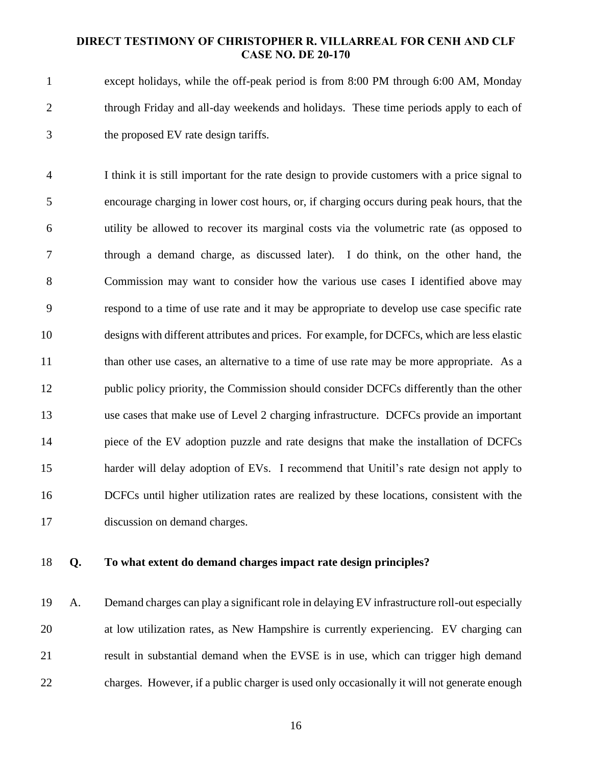except holidays, while the off-peak period is from 8:00 PM through 6:00 AM, Monday 2 through Friday and all-day weekends and holidays. These time periods apply to each of the proposed EV rate design tariffs.

 I think it is still important for the rate design to provide customers with a price signal to encourage charging in lower cost hours, or, if charging occurs during peak hours, that the utility be allowed to recover its marginal costs via the volumetric rate (as opposed to through a demand charge, as discussed later). I do think, on the other hand, the Commission may want to consider how the various use cases I identified above may respond to a time of use rate and it may be appropriate to develop use case specific rate designs with different attributes and prices. For example, for DCFCs, which are less elastic 11 than other use cases, an alternative to a time of use rate may be more appropriate. As a 12 public policy priority, the Commission should consider DCFCs differently than the other use cases that make use of Level 2 charging infrastructure. DCFCs provide an important piece of the EV adoption puzzle and rate designs that make the installation of DCFCs harder will delay adoption of EVs. I recommend that Unitil's rate design not apply to DCFCs until higher utilization rates are realized by these locations, consistent with the discussion on demand charges.

#### **Q. To what extent do demand charges impact rate design principles?**

 A. Demand charges can play a significant role in delaying EV infrastructure roll-out especially at low utilization rates, as New Hampshire is currently experiencing. EV charging can result in substantial demand when the EVSE is in use, which can trigger high demand charges. However, if a public charger is used only occasionally it will not generate enough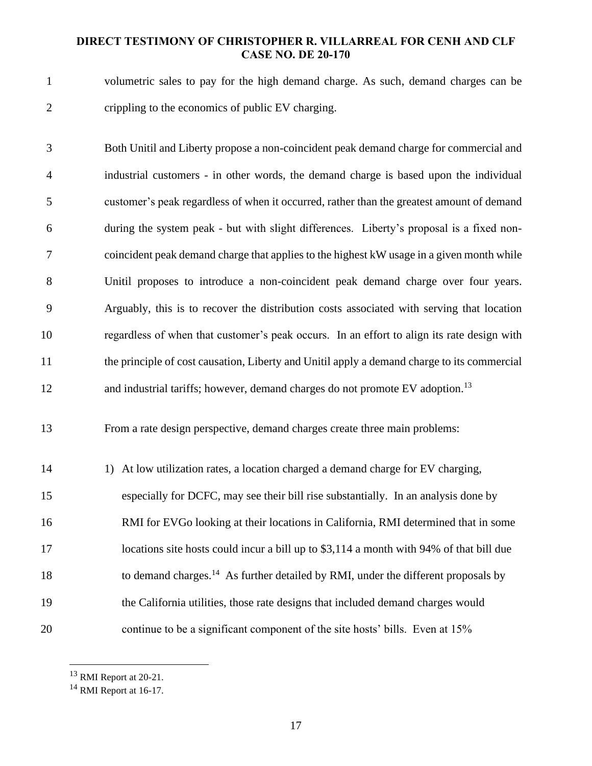volumetric sales to pay for the high demand charge. As such, demand charges can be crippling to the economics of public EV charging.

 Both Unitil and Liberty propose a non-coincident peak demand charge for commercial and industrial customers - in other words, the demand charge is based upon the individual customer's peak regardless of when it occurred, rather than the greatest amount of demand during the system peak - but with slight differences. Liberty's proposal is a fixed non- coincident peak demand charge that applies to the highest kW usage in a given month while Unitil proposes to introduce a non-coincident peak demand charge over four years. Arguably, this is to recover the distribution costs associated with serving that location regardless of when that customer's peak occurs. In an effort to align its rate design with the principle of cost causation, Liberty and Unitil apply a demand charge to its commercial 12 and industrial tariffs; however, demand charges do not promote EV adoption.<sup>13</sup>

From a rate design perspective, demand charges create three main problems:

 1) At low utilization rates, a location charged a demand charge for EV charging, especially for DCFC, may see their bill rise substantially. In an analysis done by RMI for EVGo looking at their locations in California, RMI determined that in some 17 locations site hosts could incur a bill up to \$3,114 a month with 94% of that bill due 18 to demand charges.<sup>14</sup> As further detailed by RMI, under the different proposals by the California utilities, those rate designs that included demand charges would continue to be a significant component of the site hosts' bills. Even at 15%

RMI Report at 20-21.

<sup>&</sup>lt;sup>14</sup> RMI Report at 16-17.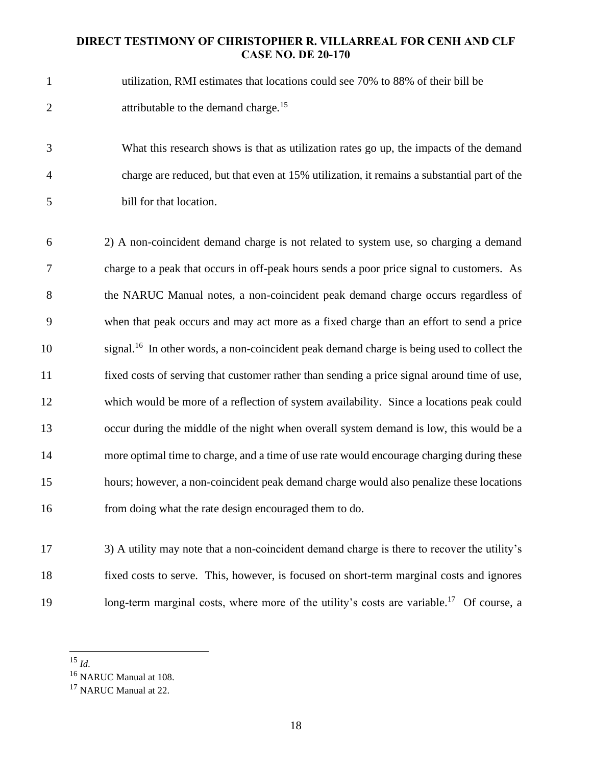- utilization, RMI estimates that locations could see 70% to 88% of their bill be 2 attributable to the demand charge.<sup>15</sup>
- What this research shows is that as utilization rates go up, the impacts of the demand charge are reduced, but that even at 15% utilization, it remains a substantial part of the bill for that location.
- 2) A non-coincident demand charge is not related to system use, so charging a demand charge to a peak that occurs in off-peak hours sends a poor price signal to customers. As the NARUC Manual notes, a non-coincident peak demand charge occurs regardless of when that peak occurs and may act more as a fixed charge than an effort to send a price 10 isignal.<sup>16</sup> In other words, a non-coincident peak demand charge is being used to collect the fixed costs of serving that customer rather than sending a price signal around time of use, which would be more of a reflection of system availability. Since a locations peak could occur during the middle of the night when overall system demand is low, this would be a more optimal time to charge, and a time of use rate would encourage charging during these hours; however, a non-coincident peak demand charge would also penalize these locations from doing what the rate design encouraged them to do.

 3) A utility may note that a non-coincident demand charge is there to recover the utility's fixed costs to serve. This, however, is focused on short-term marginal costs and ignores 19 long-term marginal costs, where more of the utility's costs are variable.<sup>17</sup> Of course, a

*Id.*

NARUC Manual at 108.

<sup>&</sup>lt;sup>17</sup> NARUC Manual at 22.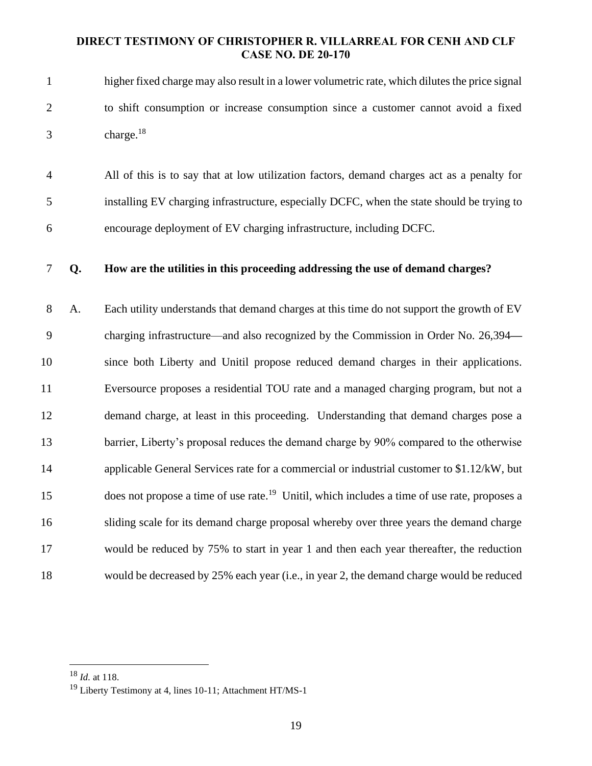- higher fixed charge may also result in a lower volumetric rate, which dilutes the price signal to shift consumption or increase consumption since a customer cannot avoid a fixed  $3 \text{ charge.}^{18}$
- All of this is to say that at low utilization factors, demand charges act as a penalty for installing EV charging infrastructure, especially DCFC, when the state should be trying to encourage deployment of EV charging infrastructure, including DCFC.

#### **Q. How are the utilities in this proceeding addressing the use of demand charges?**

 A. Each utility understands that demand charges at this time do not support the growth of EV charging infrastructure—and also recognized by the Commission in Order No. 26,394**—** since both Liberty and Unitil propose reduced demand charges in their applications. Eversource proposes a residential TOU rate and a managed charging program, but not a demand charge, at least in this proceeding. Understanding that demand charges pose a 13 barrier, Liberty's proposal reduces the demand charge by 90% compared to the otherwise applicable General Services rate for a commercial or industrial customer to \$1.12/kW, but 15 does not propose a time of use rate.<sup>19</sup> Unitil, which includes a time of use rate, proposes a sliding scale for its demand charge proposal whereby over three years the demand charge would be reduced by 75% to start in year 1 and then each year thereafter, the reduction would be decreased by 25% each year (i.e., in year 2, the demand charge would be reduced

*Id.* at 118.

<sup>&</sup>lt;sup>19</sup> Liberty Testimony at 4, lines 10-11; Attachment HT/MS-1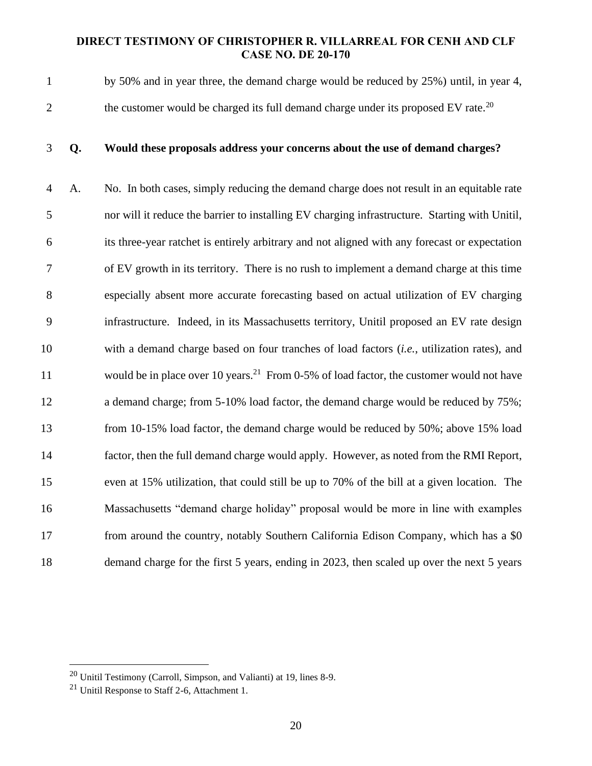by 50% and in year three, the demand charge would be reduced by 25%) until, in year 4, the customer would be charged its full demand charge under its proposed EV rate.<sup>20</sup>

#### **Q. Would these proposals address your concerns about the use of demand charges?**

 A. No. In both cases, simply reducing the demand charge does not result in an equitable rate nor will it reduce the barrier to installing EV charging infrastructure. Starting with Unitil, its three-year ratchet is entirely arbitrary and not aligned with any forecast or expectation of EV growth in its territory. There is no rush to implement a demand charge at this time especially absent more accurate forecasting based on actual utilization of EV charging infrastructure. Indeed, in its Massachusetts territory, Unitil proposed an EV rate design with a demand charge based on four tranches of load factors (*i.e.*, utilization rates), and 11 would be in place over 10 years.<sup>21</sup> From 0-5% of load factor, the customer would not have 12 a demand charge; from 5-10% load factor, the demand charge would be reduced by 75%; from 10-15% load factor, the demand charge would be reduced by 50%; above 15% load factor, then the full demand charge would apply. However, as noted from the RMI Report, even at 15% utilization, that could still be up to 70% of the bill at a given location. The Massachusetts "demand charge holiday" proposal would be more in line with examples from around the country, notably Southern California Edison Company, which has a \$0 demand charge for the first 5 years, ending in 2023, then scaled up over the next 5 years

Unitil Testimony (Carroll, Simpson, and Valianti) at 19, lines 8-9.

Unitil Response to Staff 2-6, Attachment 1.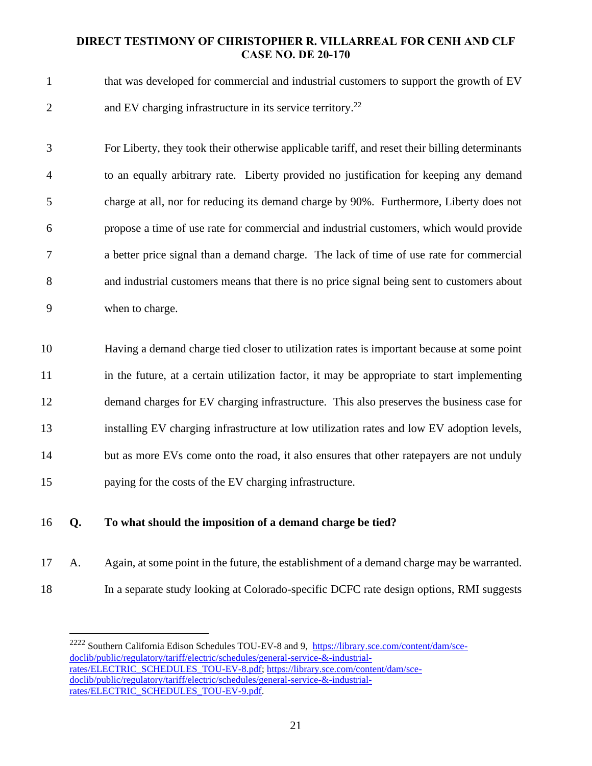that was developed for commercial and industrial customers to support the growth of EV 2 and EV charging infrastructure in its service territory.<sup>22</sup>

 For Liberty, they took their otherwise applicable tariff, and reset their billing determinants to an equally arbitrary rate. Liberty provided no justification for keeping any demand charge at all, nor for reducing its demand charge by 90%. Furthermore, Liberty does not propose a time of use rate for commercial and industrial customers, which would provide a better price signal than a demand charge. The lack of time of use rate for commercial and industrial customers means that there is no price signal being sent to customers about when to charge.

 Having a demand charge tied closer to utilization rates is important because at some point in the future, at a certain utilization factor, it may be appropriate to start implementing demand charges for EV charging infrastructure. This also preserves the business case for installing EV charging infrastructure at low utilization rates and low EV adoption levels, 14 but as more EVs come onto the road, it also ensures that other ratepayers are not unduly paying for the costs of the EV charging infrastructure.

## **Q. To what should the imposition of a demand charge be tied?**

- A. Again, at some point in the future, the establishment of a demand charge may be warranted.
- In a separate study looking at Colorado-specific DCFC rate design options, RMI suggests

<sup>&</sup>lt;sup>2222</sup> Southern California Edison Schedules TOU-EV-8 and 9, [https://library.sce.com/content/dam/sce](https://library.sce.com/content/dam/sce-doclib/public/regulatory/tariff/electric/schedules/general-service-&-industrial-rates/ELECTRIC_SCHEDULES_TOU-EV-8.pdf)[doclib/public/regulatory/tariff/electric/schedules/general-service-&-industrial](https://library.sce.com/content/dam/sce-doclib/public/regulatory/tariff/electric/schedules/general-service-&-industrial-rates/ELECTRIC_SCHEDULES_TOU-EV-8.pdf)[rates/ELECTRIC\\_SCHEDULES\\_TOU-EV-8.pdf;](https://library.sce.com/content/dam/sce-doclib/public/regulatory/tariff/electric/schedules/general-service-&-industrial-rates/ELECTRIC_SCHEDULES_TOU-EV-8.pdf) [https://library.sce.com/content/dam/sce](https://library.sce.com/content/dam/sce-doclib/public/regulatory/tariff/electric/schedules/general-service-&-industrial-rates/ELECTRIC_SCHEDULES_TOU-EV-9.pdf)[doclib/public/regulatory/tariff/electric/schedules/general-service-&-industrial](https://library.sce.com/content/dam/sce-doclib/public/regulatory/tariff/electric/schedules/general-service-&-industrial-rates/ELECTRIC_SCHEDULES_TOU-EV-9.pdf)[rates/ELECTRIC\\_SCHEDULES\\_TOU-EV-9.pdf.](https://library.sce.com/content/dam/sce-doclib/public/regulatory/tariff/electric/schedules/general-service-&-industrial-rates/ELECTRIC_SCHEDULES_TOU-EV-9.pdf)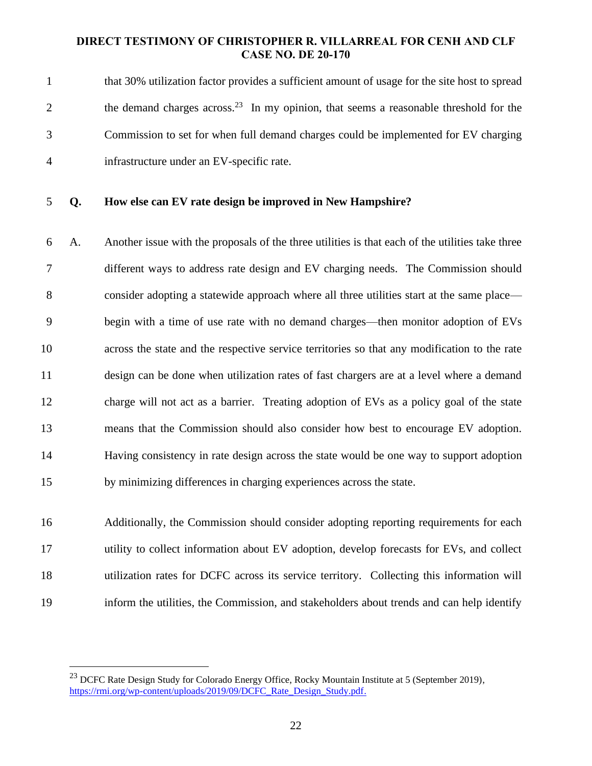|   | that 30% utilization factor provides a sufficient amount of usage for the site host to spread     |
|---|---------------------------------------------------------------------------------------------------|
| 2 | the demand charges across. <sup>23</sup> In my opinion, that seems a reasonable threshold for the |
|   | Commission to set for when full demand charges could be implemented for EV charging               |
| 4 | infrastructure under an EV-specific rate.                                                         |

**Q. How else can EV rate design be improved in New Hampshire?**

 A. Another issue with the proposals of the three utilities is that each of the utilities take three different ways to address rate design and EV charging needs. The Commission should consider adopting a statewide approach where all three utilities start at the same place— begin with a time of use rate with no demand charges—then monitor adoption of EVs across the state and the respective service territories so that any modification to the rate design can be done when utilization rates of fast chargers are at a level where a demand charge will not act as a barrier. Treating adoption of EVs as a policy goal of the state means that the Commission should also consider how best to encourage EV adoption. Having consistency in rate design across the state would be one way to support adoption by minimizing differences in charging experiences across the state.

 Additionally, the Commission should consider adopting reporting requirements for each utility to collect information about EV adoption, develop forecasts for EVs, and collect utilization rates for DCFC across its service territory. Collecting this information will inform the utilities, the Commission, and stakeholders about trends and can help identify

<sup>&</sup>lt;sup>23</sup> DCFC Rate Design Study for Colorado Energy Office, Rocky Mountain Institute at 5 (September 2019), [https://rmi.org/wp-content/uploads/2019/09/DCFC\\_Rate\\_Design\\_Study.pdf.](https://rmi.org/wp-content/uploads/2019/09/DCFC_Rate_Design_Study.pdf)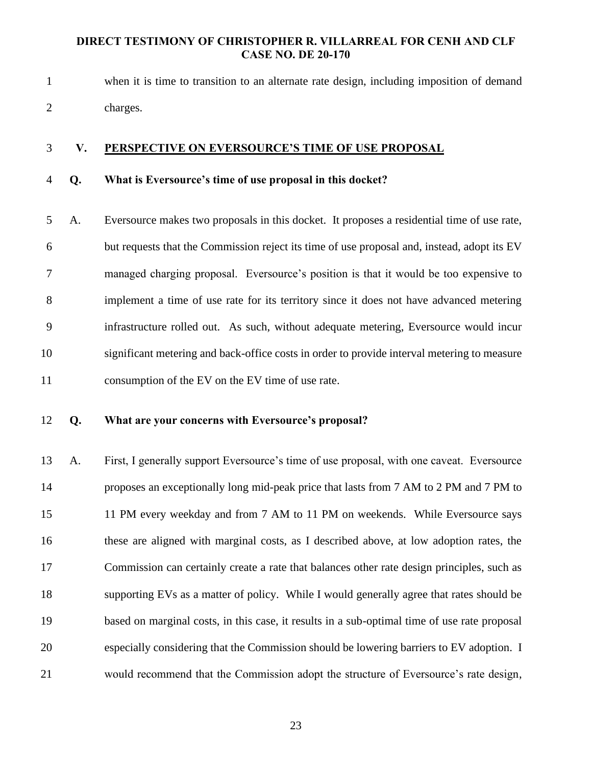when it is time to transition to an alternate rate design, including imposition of demand charges.

#### **V. PERSPECTIVE ON EVERSOURCE'S TIME OF USE PROPOSAL**

## **Q. What is Eversource's time of use proposal in this docket?**

 A. Eversource makes two proposals in this docket. It proposes a residential time of use rate, but requests that the Commission reject its time of use proposal and, instead, adopt its EV managed charging proposal. Eversource's position is that it would be too expensive to implement a time of use rate for its territory since it does not have advanced metering infrastructure rolled out. As such, without adequate metering, Eversource would incur significant metering and back-office costs in order to provide interval metering to measure consumption of the EV on the EV time of use rate.

#### **Q. What are your concerns with Eversource's proposal?**

 A. First, I generally support Eversource's time of use proposal, with one caveat. Eversource proposes an exceptionally long mid-peak price that lasts from 7 AM to 2 PM and 7 PM to 11 PM every weekday and from 7 AM to 11 PM on weekends. While Eversource says these are aligned with marginal costs, as I described above, at low adoption rates, the Commission can certainly create a rate that balances other rate design principles, such as supporting EVs as a matter of policy. While I would generally agree that rates should be based on marginal costs, in this case, it results in a sub-optimal time of use rate proposal especially considering that the Commission should be lowering barriers to EV adoption. I would recommend that the Commission adopt the structure of Eversource's rate design,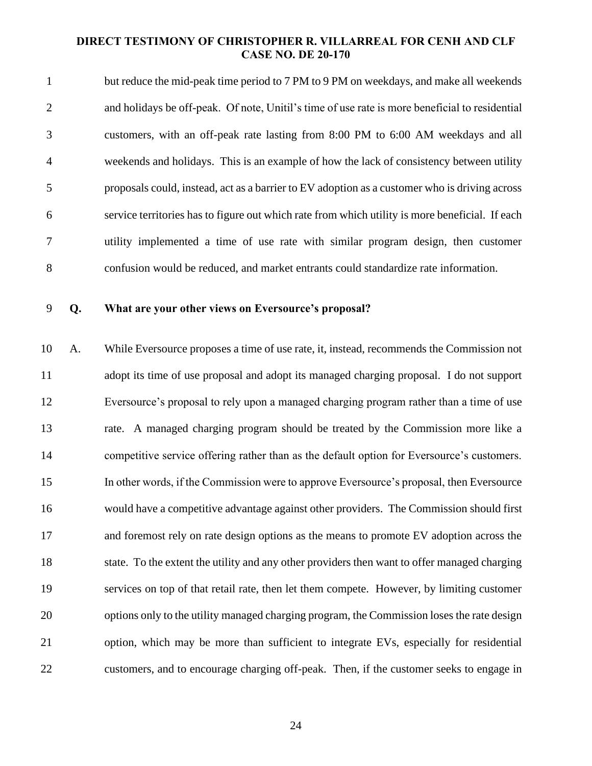but reduce the mid-peak time period to 7 PM to 9 PM on weekdays, and make all weekends and holidays be off-peak. Of note, Unitil's time of use rate is more beneficial to residential customers, with an off-peak rate lasting from 8:00 PM to 6:00 AM weekdays and all weekends and holidays. This is an example of how the lack of consistency between utility proposals could, instead, act as a barrier to EV adoption as a customer who is driving across service territories has to figure out which rate from which utility is more beneficial. If each utility implemented a time of use rate with similar program design, then customer confusion would be reduced, and market entrants could standardize rate information.

#### **Q. What are your other views on Eversource's proposal?**

 A. While Eversource proposes a time of use rate, it, instead, recommends the Commission not adopt its time of use proposal and adopt its managed charging proposal. I do not support Eversource's proposal to rely upon a managed charging program rather than a time of use rate. A managed charging program should be treated by the Commission more like a competitive service offering rather than as the default option for Eversource's customers. In other words, if the Commission were to approve Eversource's proposal, then Eversource would have a competitive advantage against other providers. The Commission should first and foremost rely on rate design options as the means to promote EV adoption across the state. To the extent the utility and any other providers then want to offer managed charging services on top of that retail rate, then let them compete. However, by limiting customer options only to the utility managed charging program, the Commission loses the rate design option, which may be more than sufficient to integrate EVs, especially for residential customers, and to encourage charging off-peak. Then, if the customer seeks to engage in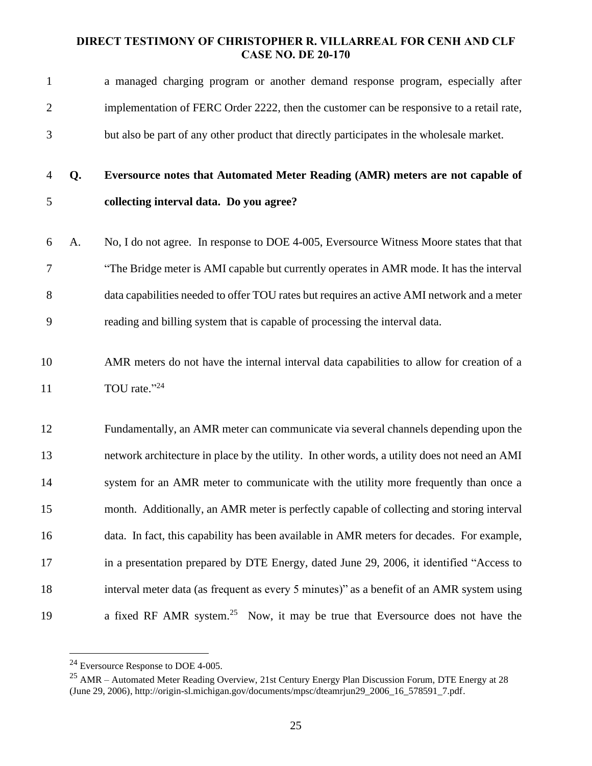| $\mathbf{1}$   |    | a managed charging program or another demand response program, especially after              |
|----------------|----|----------------------------------------------------------------------------------------------|
| $\overline{c}$ |    | implementation of FERC Order 2222, then the customer can be responsive to a retail rate,     |
| 3              |    | but also be part of any other product that directly participates in the wholesale market.    |
| 4              | Q. | Eversource notes that Automated Meter Reading (AMR) meters are not capable of                |
| 5              |    | collecting interval data. Do you agree?                                                      |
| 6              | A. | No, I do not agree. In response to DOE 4-005, Eversource Witness Moore states that that      |
| 7              |    | "The Bridge meter is AMI capable but currently operates in AMR mode. It has the interval     |
| 8              |    | data capabilities needed to offer TOU rates but requires an active AMI network and a meter   |
| 9              |    | reading and billing system that is capable of processing the interval data.                  |
| 10             |    | AMR meters do not have the internal interval data capabilities to allow for creation of a    |
| 11             |    | TOU rate."24                                                                                 |
| 12             |    | Fundamentally, an AMR meter can communicate via several channels depending upon the          |
| 13             |    | network architecture in place by the utility. In other words, a utility does not need an AMI |
| 14             |    | system for an AMR meter to communicate with the utility more frequently than once a          |
| 15             |    | month. Additionally, an AMR meter is perfectly capable of collecting and storing interval    |
| 16             |    | data. In fact, this capability has been available in AMR meters for decades. For example,    |
| 17             |    | in a presentation prepared by DTE Energy, dated June 29, 2006, it identified "Access to      |
| 18             |    | interval meter data (as frequent as every 5 minutes)" as a benefit of an AMR system using    |
| 19             |    | a fixed RF AMR system. <sup>25</sup> Now, it may be true that Eversource does not have the   |

Eversource Response to DOE 4-005.

 AMR – Automated Meter Reading Overview, 21st Century Energy Plan Discussion Forum, DTE Energy at 28 (June 29, 2006), http://origin-sl.michigan.gov/documents/mpsc/dteamrjun29\_2006\_16\_578591\_7.pdf.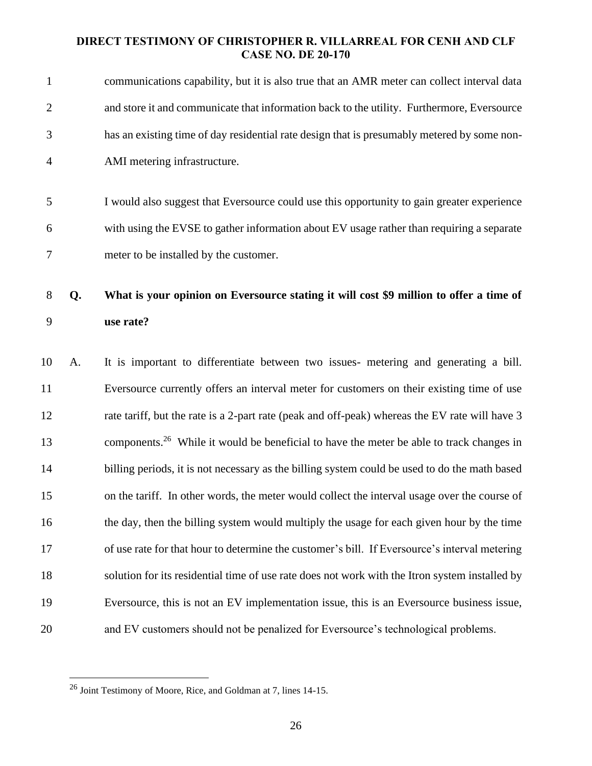| $\mathbf{1}$ |    | communications capability, but it is also true that an AMR meter can collect interval data           |
|--------------|----|------------------------------------------------------------------------------------------------------|
| $\mathbf{2}$ |    | and store it and communicate that information back to the utility. Furthermore, Eversource           |
| 3            |    | has an existing time of day residential rate design that is presumably metered by some non-          |
| 4            |    | AMI metering infrastructure.                                                                         |
|              |    |                                                                                                      |
| 5            |    | I would also suggest that Eversource could use this opportunity to gain greater experience           |
| 6            |    | with using the EVSE to gather information about EV usage rather than requiring a separate            |
| 7            |    | meter to be installed by the customer.                                                               |
|              |    |                                                                                                      |
| 8            | Q. | What is your opinion on Eversource stating it will cost \$9 million to offer a time of               |
| 9            |    | use rate?                                                                                            |
| 10           | A. | It is important to differentiate between two issues- metering and generating a bill.                 |
| 11           |    | Eversource currently offers an interval meter for customers on their existing time of use            |
| 12           |    | rate tariff, but the rate is a 2-part rate (peak and off-peak) whereas the EV rate will have 3       |
| 13           |    | components. <sup>26</sup> While it would be beneficial to have the meter be able to track changes in |
| 14           |    | billing periods, it is not necessary as the billing system could be used to do the math based        |
| 15           |    | on the tariff. In other words, the meter would collect the interval usage over the course of         |
| 16           |    | the day, then the billing system would multiply the usage for each given hour by the time            |
| 17           |    | of use rate for that hour to determine the customer's bill. If Eversource's interval metering        |
| 18           |    | solution for its residential time of use rate does not work with the Itron system installed by       |
| 19           |    | Eversource, this is not an EV implementation issue, this is an Eversource business issue,            |
| 20           |    | and EV customers should not be penalized for Eversource's technological problems.                    |

Joint Testimony of Moore, Rice, and Goldman at 7, lines 14-15.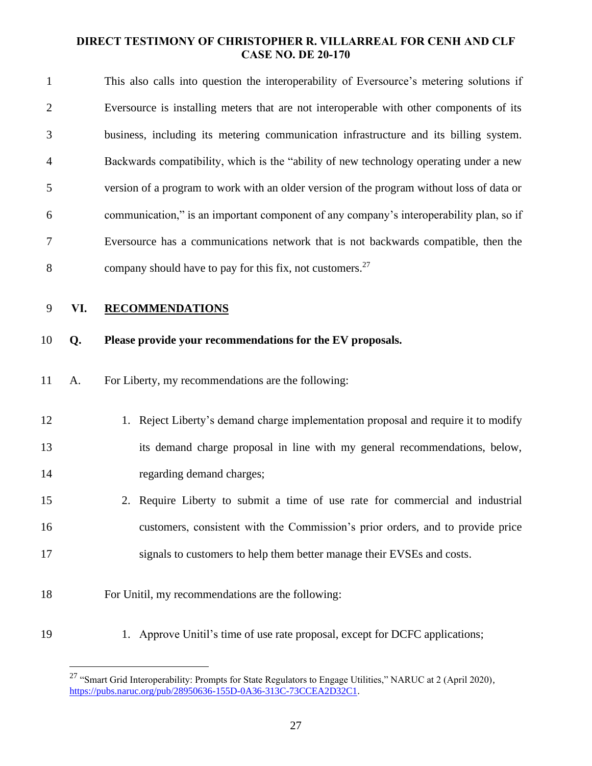| $\mathbf{1}$   |     | This also calls into question the interoperability of Eversource's metering solutions if  |
|----------------|-----|-------------------------------------------------------------------------------------------|
| $\overline{c}$ |     | Eversource is installing meters that are not interoperable with other components of its   |
| 3              |     | business, including its metering communication infrastructure and its billing system.     |
| 4              |     | Backwards compatibility, which is the "ability of new technology operating under a new    |
| 5              |     | version of a program to work with an older version of the program without loss of data or |
| 6              |     | communication," is an important component of any company's interoperability plan, so if   |
| 7              |     | Eversource has a communications network that is not backwards compatible, then the        |
| 8              |     | company should have to pay for this fix, not customers. <sup>27</sup>                     |
| 9              | VI. | <b>RECOMMENDATIONS</b>                                                                    |
| 10             | Q.  | Please provide your recommendations for the EV proposals.                                 |
| 11             | A.  | For Liberty, my recommendations are the following:                                        |
| 12             |     | 1. Reject Liberty's demand charge implementation proposal and require it to modify        |
| 13             |     | its demand charge proposal in line with my general recommendations, below,                |
| 14             |     | regarding demand charges;                                                                 |
| 15             |     | 2. Require Liberty to submit a time of use rate for commercial and industrial             |
| 16             |     | customers, consistent with the Commission's prior orders, and to provide price            |
| 17             |     | signals to customers to help them better manage their EVSEs and costs.                    |
| 18             |     | For Unitil, my recommendations are the following:                                         |
| 19             |     | 1. Approve Unitil's time of use rate proposal, except for DCFC applications;              |

<sup>&</sup>lt;sup>27</sup> "Smart Grid Interoperability: Prompts for State Regulators to Engage Utilities," NARUC at 2 (April 2020), [https://pubs.naruc.org/pub/28950636-155D-0A36-313C-73CCEA2D32C1.](https://pubs.naruc.org/pub/28950636-155D-0A36-313C-73CCEA2D32C1)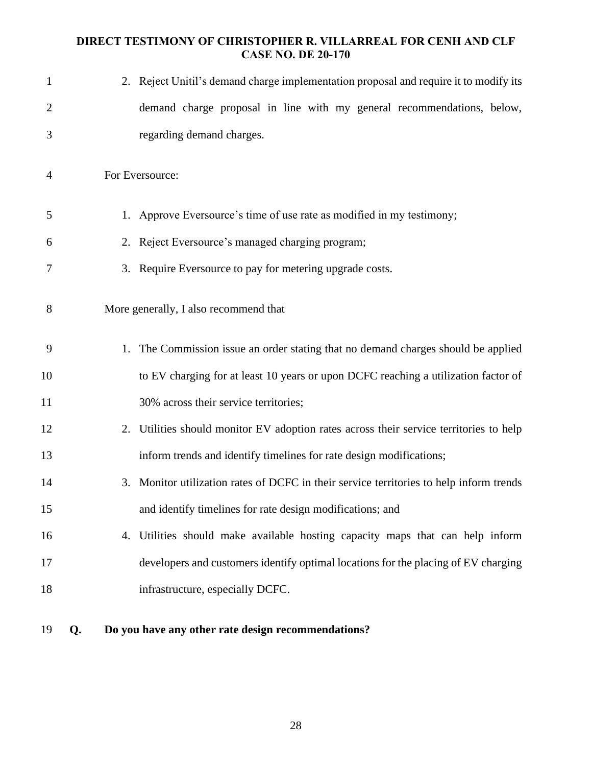| $\mathbf{1}$   | 2. Reject Unitil's demand charge implementation proposal and require it to modify its   |
|----------------|-----------------------------------------------------------------------------------------|
| $\overline{2}$ | demand charge proposal in line with my general recommendations, below,                  |
| 3              | regarding demand charges.                                                               |
| $\overline{4}$ | For Eversource:                                                                         |
| 5              | 1. Approve Eversource's time of use rate as modified in my testimony;                   |
| 6              | 2. Reject Eversource's managed charging program;                                        |
| 7              | 3. Require Eversource to pay for metering upgrade costs.                                |
| 8              | More generally, I also recommend that                                                   |
| 9              | 1. The Commission issue an order stating that no demand charges should be applied       |
| 10             | to EV charging for at least 10 years or upon DCFC reaching a utilization factor of      |
| 11             | 30% across their service territories;                                                   |
| 12             | 2. Utilities should monitor EV adoption rates across their service territories to help  |
| 13             | inform trends and identify timelines for rate design modifications;                     |
| 14             | 3. Monitor utilization rates of DCFC in their service territories to help inform trends |
| 15             | and identify timelines for rate design modifications; and                               |
| 16             | 4. Utilities should make available hosting capacity maps that can help inform           |
| 17             | developers and customers identify optimal locations for the placing of EV charging      |
| 18             | infrastructure, especially DCFC.                                                        |
|                |                                                                                         |

- 
- **Q. Do you have any other rate design recommendations?**